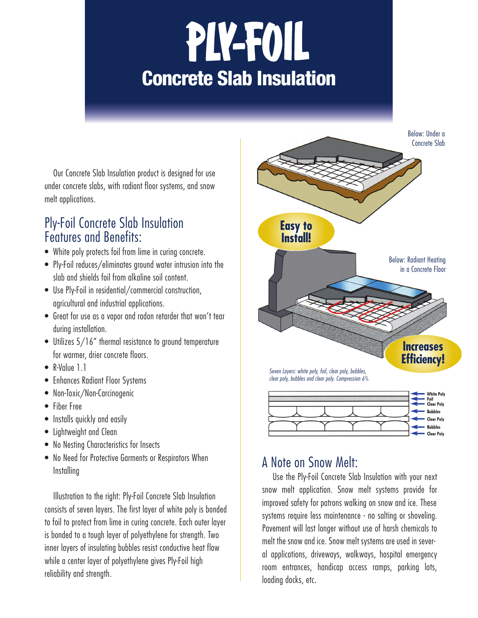# PIY-FOIL Concrete Slab Insulation

 Our Concrete Slab Insulation product is designed for use under concrete slabs, with radiant floor systems, and snow melt applications.

#### Ply-Foil Concrete Slab Insulation Features and Benefits:

- White poly protects foil from lime in curing concrete.
- Ply-Foil reduces/eliminates ground water intrusion into the slab and shields foil from alkaline soil content.
- Use Ply-Foil in residential/commercial construction, agricultural and industrial applications.
- Great for use as a vapor and radon retarder that won't tear during installation.
- Utilizes 5/16" thermal resistance to ground temperature for warmer, drier concrete floors.
- R-Value 1.1
- Enhances Radiant Floor Systems
- Non-Toxic/Non-Carcinogenic
- Fiber Free
- Installs quickly and easily
- Lightweight and Clean
- No Nesting Characteristics for Insects
- No Need for Protective Garments or Respirators When Installing

 Illustration to the right: Ply-Foil Concrete Slab Insulation consists of seven layers. The first layer of white poly is bonded to foil to protect from lime in curing concrete. Each outer layer is bonded to a tough layer of polyethylene for strength. Two inner layers of insulating bubbles resist conductive heat flow while a center layer of polyethylene gives Ply-Foil high reliability and strength.



### A Note on Snow Melt:

 Use the Ply-Foil Concrete Slab Insulation with your next snow melt application. Snow melt systems provide for improved safety for patrons walking on snow and ice. These systems require less maintenance - no salting or shoveling. Pavement will last longer without use of harsh chemicals to melt the snow and ice. Snow melt systems are used in several applications, driveways, walkways, hospital emergency room entrances, handicap access ramps, parking lots, loading docks, etc.